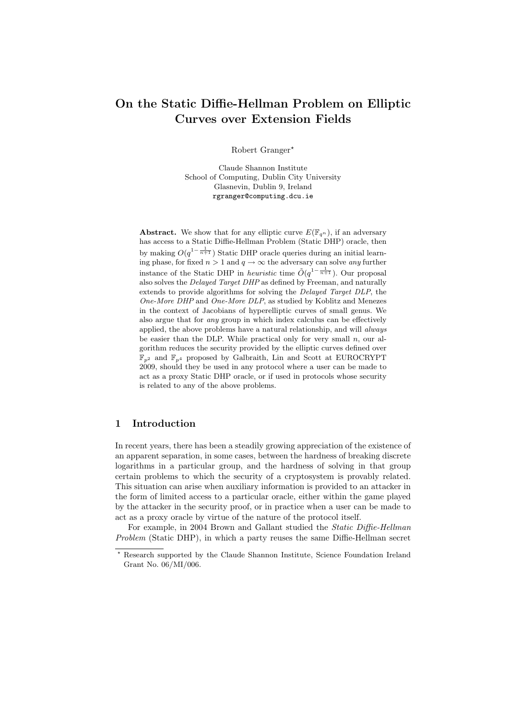# On the Static Diffie-Hellman Problem on Elliptic Curves over Extension Fields

Robert Granger?

Claude Shannon Institute School of Computing, Dublin City University Glasnevin, Dublin 9, Ireland rgranger@computing.dcu.ie

**Abstract.** We show that for any elliptic curve  $E(\mathbb{F}_{q^n})$ , if an adversary has access to a Static Diffie-Hellman Problem (Static DHP) oracle, then by making  $O(q^{1-\frac{1}{n+1}})$  Static DHP oracle queries during an initial learning phase, for fixed  $n > 1$  and  $q \to \infty$  the adversary can solve any further instance of the Static DHP in *heuristic* time  $\tilde{O}(q^{1-\frac{1}{n+1}})$ . Our proposal also solves the Delayed Target DHP as defined by Freeman, and naturally extends to provide algorithms for solving the Delayed Target DLP, the One-More DHP and One-More DLP, as studied by Koblitz and Menezes in the context of Jacobians of hyperelliptic curves of small genus. We also argue that for any group in which index calculus can be effectively applied, the above problems have a natural relationship, and will always be easier than the DLP. While practical only for very small  $n$ , our algorithm reduces the security provided by the elliptic curves defined over  $\mathbb{F}_{n^2}$  and  $\mathbb{F}_{n^4}$  proposed by Galbraith, Lin and Scott at EUROCRYPT 2009, should they be used in any protocol where a user can be made to act as a proxy Static DHP oracle, or if used in protocols whose security is related to any of the above problems.

## 1 Introduction

In recent years, there has been a steadily growing appreciation of the existence of an apparent separation, in some cases, between the hardness of breaking discrete logarithms in a particular group, and the hardness of solving in that group certain problems to which the security of a cryptosystem is provably related. This situation can arise when auxiliary information is provided to an attacker in the form of limited access to a particular oracle, either within the game played by the attacker in the security proof, or in practice when a user can be made to act as a proxy oracle by virtue of the nature of the protocol itself.

For example, in 2004 Brown and Gallant studied the Static Diffie-Hellman Problem (Static DHP), in which a party reuses the same Diffie-Hellman secret

<sup>?</sup> Research supported by the Claude Shannon Institute, Science Foundation Ireland Grant No. 06/MI/006.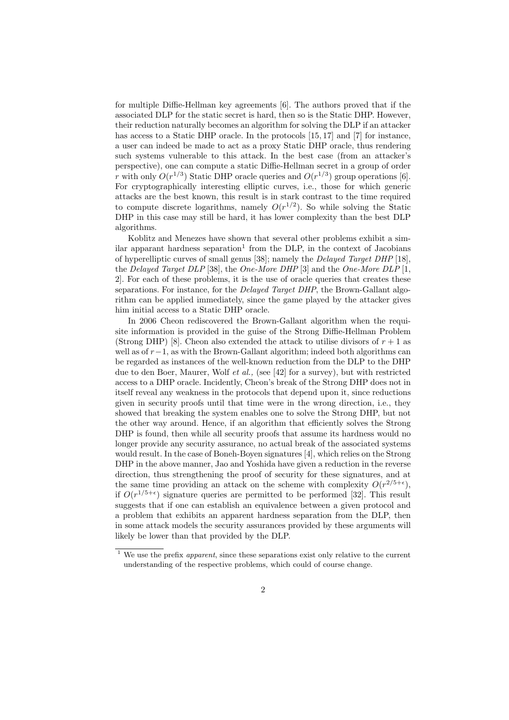for multiple Diffie-Hellman key agreements [6]. The authors proved that if the associated DLP for the static secret is hard, then so is the Static DHP. However, their reduction naturally becomes an algorithm for solving the DLP if an attacker has access to a Static DHP oracle. In the protocols [15, 17] and [7] for instance, a user can indeed be made to act as a proxy Static DHP oracle, thus rendering such systems vulnerable to this attack. In the best case (from an attacker's perspective), one can compute a static Diffie-Hellman secret in a group of order r with only  $O(r^{1/3})$  Static DHP oracle queries and  $O(r^{1/3})$  group operations [6]. For cryptographically interesting elliptic curves, i.e., those for which generic attacks are the best known, this result is in stark contrast to the time required to compute discrete logarithms, namely  $O(r^{1/2})$ . So while solving the Static DHP in this case may still be hard, it has lower complexity than the best DLP algorithms.

Koblitz and Menezes have shown that several other problems exhibit a similar apparant hardness separation<sup>1</sup> from the DLP, in the context of Jacobians of hyperelliptic curves of small genus [38]; namely the Delayed Target DHP [18], the Delayed Target DLP [38], the One-More DHP [3] and the One-More DLP  $[1,$ 2]. For each of these problems, it is the use of oracle queries that creates these separations. For instance, for the *Delayed Target DHP*, the Brown-Gallant algorithm can be applied immediately, since the game played by the attacker gives him initial access to a Static DHP oracle.

In 2006 Cheon rediscovered the Brown-Gallant algorithm when the requisite information is provided in the guise of the Strong Diffie-Hellman Problem (Strong DHP) [8]. Cheon also extended the attack to utilise divisors of  $r + 1$  as well as of  $r-1$ , as with the Brown-Gallant algorithm; indeed both algorithms can be regarded as instances of the well-known reduction from the DLP to the DHP due to den Boer, Maurer, Wolf *et al.*, (see [42] for a survey), but with restricted access to a DHP oracle. Incidently, Cheon's break of the Strong DHP does not in itself reveal any weakness in the protocols that depend upon it, since reductions given in security proofs until that time were in the wrong direction, i.e., they showed that breaking the system enables one to solve the Strong DHP, but not the other way around. Hence, if an algorithm that efficiently solves the Strong DHP is found, then while all security proofs that assume its hardness would no longer provide any security assurance, no actual break of the associated systems would result. In the case of Boneh-Boyen signatures [4], which relies on the Strong DHP in the above manner, Jao and Yoshida have given a reduction in the reverse direction, thus strengthening the proof of security for these signatures, and at the same time providing an attack on the scheme with complexity  $O(r^{2/5+\epsilon})$ , if  $O(r^{1/5+\epsilon})$  signature queries are permitted to be performed [32]. This result suggests that if one can establish an equivalence between a given protocol and a problem that exhibits an apparent hardness separation from the DLP, then in some attack models the security assurances provided by these arguments will likely be lower than that provided by the DLP.

 $1$  We use the prefix *apparent*, since these separations exist only relative to the current understanding of the respective problems, which could of course change.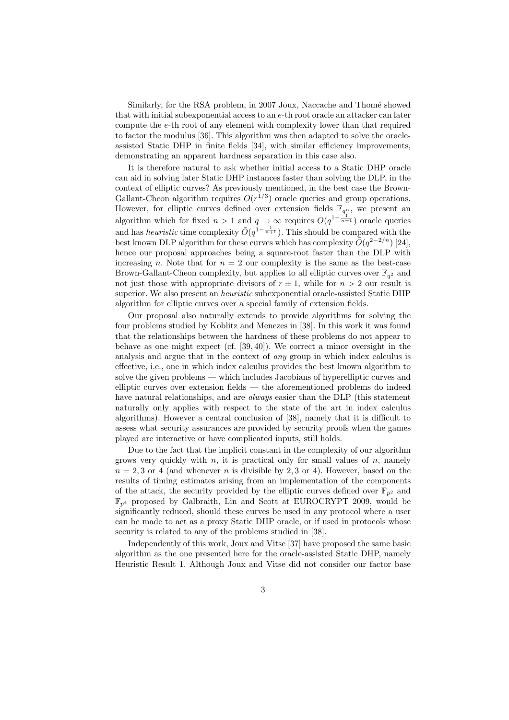Similarly, for the RSA problem, in 2007 Joux, Naccache and Thomé showed that with initial subexponential access to an e-th root oracle an attacker can later compute the e-th root of any element with complexity lower than that required to factor the modulus [36]. This algorithm was then adapted to solve the oracleassisted Static DHP in finite fields [34], with similar efficiency improvements, demonstrating an apparent hardness separation in this case also.

It is therefore natural to ask whether initial access to a Static DHP oracle can aid in solving later Static DHP instances faster than solving the DLP, in the context of elliptic curves? As previously mentioned, in the best case the Brown-Gallant-Cheon algorithm requires  $O(r^{1/3})$  oracle queries and group operations. However, for elliptic curves defined over extension fields  $\mathbb{F}_{q^n}$ , we present an algorithm which for fixed  $n > 1$  and  $q \to \infty$  requires  $O(q^{1-\frac{1}{n+1}})$  oracle queries and has *heuristic* time complexity  $\tilde{O}(q^{1-\frac{1}{n+1}})$ . This should be compared with the best known DLP algorithm for these curves which has complexity  $\tilde{O}(q^{2-2/n})$  [24], hence our proposal approaches being a square-root faster than the DLP with increasing n. Note that for  $n = 2$  our complexity is the same as the best-case Brown-Gallant-Cheon complexity, but applies to all elliptic curves over  $\mathbb{F}_{q^2}$  and not just those with appropriate divisors of  $r \pm 1$ , while for  $n > 2$  our result is superior. We also present an *heuristic* subexponential oracle-assisted Static DHP algorithm for elliptic curves over a special family of extension fields.

Our proposal also naturally extends to provide algorithms for solving the four problems studied by Koblitz and Menezes in [38]. In this work it was found that the relationships between the hardness of these problems do not appear to behave as one might expect (cf. [39, 40]). We correct a minor oversight in the analysis and argue that in the context of any group in which index calculus is effective, i.e., one in which index calculus provides the best known algorithm to solve the given problems — which includes Jacobians of hyperelliptic curves and elliptic curves over extension fields — the aforementioned problems do indeed have natural relationships, and are *always* easier than the DLP (this statement naturally only applies with respect to the state of the art in index calculus algorithms). However a central conclusion of [38], namely that it is difficult to assess what security assurances are provided by security proofs when the games played are interactive or have complicated inputs, still holds.

Due to the fact that the implicit constant in the complexity of our algorithm grows very quickly with n, it is practical only for small values of  $n$ , namely  $n = 2, 3$  or 4 (and whenever n is divisible by 2, 3 or 4). However, based on the results of timing estimates arising from an implementation of the components of the attack, the security provided by the elliptic curves defined over  $\mathbb{F}_{n^2}$  and  $\mathbb{F}_{p^4}$  proposed by Galbraith, Lin and Scott at EUROCRYPT 2009, would be significantly reduced, should these curves be used in any protocol where a user can be made to act as a proxy Static DHP oracle, or if used in protocols whose security is related to any of the problems studied in [38].

Independently of this work, Joux and Vitse [37] have proposed the same basic algorithm as the one presented here for the oracle-assisted Static DHP, namely Heuristic Result 1. Although Joux and Vitse did not consider our factor base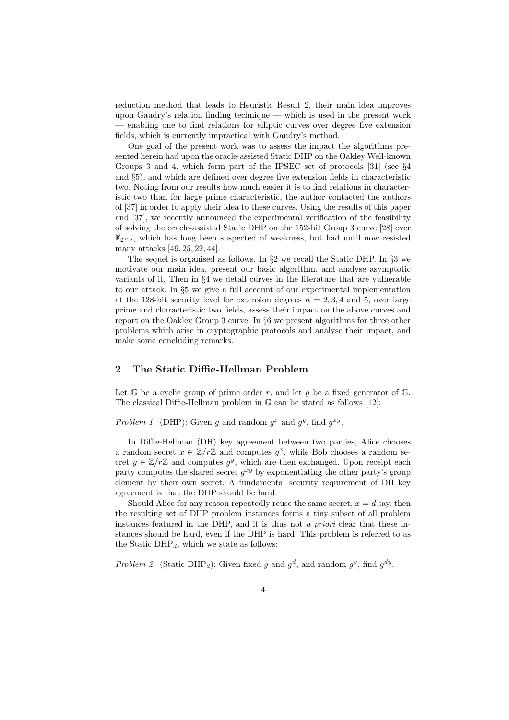reduction method that leads to Heuristic Result 2, their main idea improves upon Gaudry's relation finding technique — which is used in the present work — enabling one to find relations for elliptic curves over degree five extension fields, which is currently impractical with Gaudry's method.

One goal of the present work was to assess the impact the algorithms presented herein had upon the oracle-assisted Static DHP on the Oakley Well-known Groups 3 and 4, which form part of the IPSEC set of protocols [31] (see §4 and §5), and which are defined over degree five extension fields in characteristic two. Noting from our results how much easier it is to find relations in characteristic two than for large prime characteristic, the author contacted the authors of [37] in order to apply their idea to these curves. Using the results of this paper and [37], we recently announced the experimental verification of the feasibility of solving the oracle-assisted Static DHP on the 152-bit Group 3 curve [28] over  $\mathbb{F}_{2^{155}}$ , which has long been suspected of weakness, but had until now resisted many attacks [49, 25, 22, 44].

The sequel is organised as follows. In  $\S2$  we recall the Static DHP. In  $\S3$  we motivate our main idea, present our basic algorithm, and analyse asymptotic variants of it. Then in §4 we detail curves in the literature that are vulnerable to our attack. In §5 we give a full account of our experimental implementation at the 128-bit security level for extension degrees  $n = 2, 3, 4$  and 5, over large prime and characteristic two fields, assess their impact on the above curves and report on the Oakley Group 3 curve. In §6 we present algorithms for three other problems which arise in cryptographic protocols and analyse their impact, and make some concluding remarks.

# 2 The Static Diffie-Hellman Problem

Let  $\mathbb{G}$  be a cyclic group of prime order r, and let g be a fixed generator of  $\mathbb{G}$ . The classical Diffie-Hellman problem in G can be stated as follows [12]:

Problem 1. (DHP): Given g and random  $g^x$  and  $g^y$ , find  $g^{xy}$ .

In Diffie-Hellman (DH) key agreement between two parties, Alice chooses a random secret  $x \in \mathbb{Z}/r\mathbb{Z}$  and computes  $g^x$ , while Bob chooses a random secret  $y \in \mathbb{Z}/r\mathbb{Z}$  and computes  $g^y$ , which are then exchanged. Upon receipt each party computes the shared secret  $g^{xy}$  by exponentiating the other party's group element by their own secret. A fundamental security requirement of DH key agreement is that the DHP should be hard.

Should Alice for any reason repeatedly reuse the same secret,  $x = d$  say, then the resulting set of DHP problem instances forms a tiny subset of all problem instances featured in the DHP, and it is thus not a priori clear that these instances should be hard, even if the DHP is hard. This problem is referred to as the Static  $DHP_d$ , which we state as follows:

Problem 2. (Static DHP<sub>d</sub>): Given fixed g and  $g^d$ , and random  $g^y$ , find  $g^{dy}$ .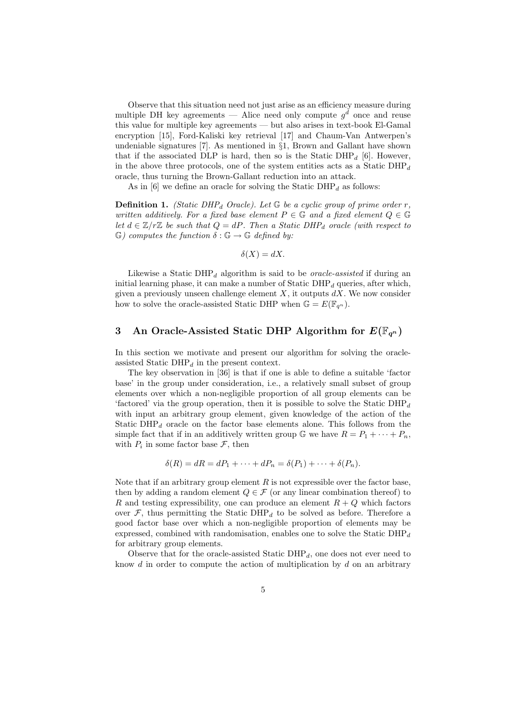Observe that this situation need not just arise as an efficiency measure during multiple DH key agreements — Alice need only compute  $g^d$  once and reuse this value for multiple key agreements — but also arises in text-book El-Gamal encryption [15], Ford-Kaliski key retrieval [17] and Chaum-Van Antwerpen's undeniable signatures [7]. As mentioned in  $\S1$ , Brown and Gallant have shown that if the associated DLP is hard, then so is the Static DHP $_d$  [6]. However, in the above three protocols, one of the system entities acts as a Static  $DHP<sub>d</sub>$ oracle, thus turning the Brown-Gallant reduction into an attack.

As in [6] we define an oracle for solving the Static  $DHP<sub>d</sub>$  as follows:

**Definition 1.** (Static DHP<sub>d</sub> Oracle). Let  $\mathbb{G}$  be a cyclic group of prime order r, written additively. For a fixed base element  $P \in \mathbb{G}$  and a fixed element  $Q \in \mathbb{G}$ let  $d \in \mathbb{Z}/r\mathbb{Z}$  be such that  $Q = dP$ . Then a Static DHP<sub>d</sub> oracle (with respect to  $\mathbb{G}$ ) computes the function  $\delta : \mathbb{G} \to \mathbb{G}$  defined by:

$$
\delta(X) = dX.
$$

Likewise a Static DHP<sub>d</sub> algorithm is said to be *oracle-assisted* if during an initial learning phase, it can make a number of Static  $DHP_d$  queries, after which, given a previously unseen challenge element  $X$ , it outputs  $dX$ . We now consider how to solve the oracle-assisted Static DHP when  $\mathbb{G} = E(\mathbb{F}_{q^n})$ .

# 3 An Oracle-Assisted Static DHP Algorithm for  $E(\mathbb{F}_{q^n})$

In this section we motivate and present our algorithm for solving the oracleassisted Static  $DHP_d$  in the present context.

The key observation in [36] is that if one is able to define a suitable 'factor base' in the group under consideration, i.e., a relatively small subset of group elements over which a non-negligible proportion of all group elements can be 'factored' via the group operation, then it is possible to solve the Static  $DHP_d$ with input an arbitrary group element, given knowledge of the action of the Static  $DHP_d$  oracle on the factor base elements alone. This follows from the simple fact that if in an additively written group  $\mathbb{G}$  we have  $R = P_1 + \cdots + P_n$ , with  $P_i$  in some factor base  $\mathcal{F}$ , then

$$
\delta(R) = dR = dP_1 + \dots + dP_n = \delta(P_1) + \dots + \delta(P_n).
$$

Note that if an arbitrary group element  $R$  is not expressible over the factor base, then by adding a random element  $Q \in \mathcal{F}$  (or any linear combination thereof) to R and testing expressibility, one can produce an element  $R + Q$  which factors over  $\mathcal F$ , thus permitting the Static DHP<sub>d</sub> to be solved as before. Therefore a good factor base over which a non-negligible proportion of elements may be expressed, combined with randomisation, enables one to solve the Static  $DHP<sub>d</sub>$ for arbitrary group elements.

Observe that for the oracle-assisted Static  $DHP_d$ , one does not ever need to know d in order to compute the action of multiplication by  $d$  on an arbitrary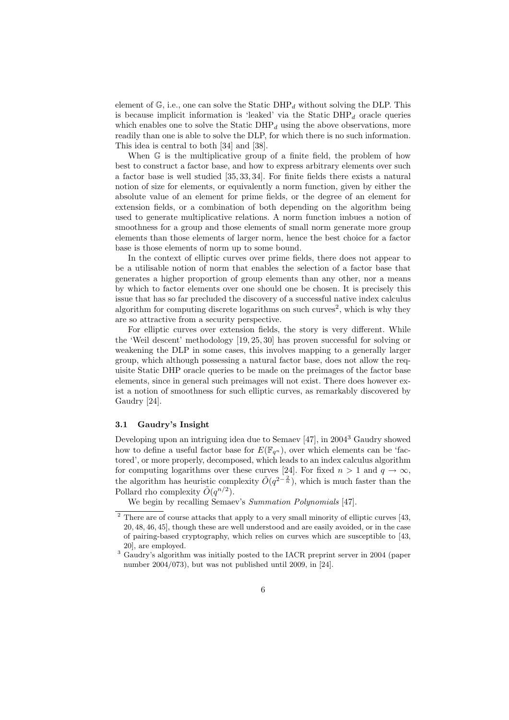element of  $\mathbb{G}$ , i.e., one can solve the Static DHP<sub>d</sub> without solving the DLP. This is because implicit information is 'leaked' via the Static  $DHP_d$  oracle queries which enables one to solve the Static  $DHP_d$  using the above observations, more readily than one is able to solve the DLP, for which there is no such information. This idea is central to both [34] and [38].

When  $\mathbb{G}$  is the multiplicative group of a finite field, the problem of how best to construct a factor base, and how to express arbitrary elements over such a factor base is well studied [35, 33, 34]. For finite fields there exists a natural notion of size for elements, or equivalently a norm function, given by either the absolute value of an element for prime fields, or the degree of an element for extension fields, or a combination of both depending on the algorithm being used to generate multiplicative relations. A norm function imbues a notion of smoothness for a group and those elements of small norm generate more group elements than those elements of larger norm, hence the best choice for a factor base is those elements of norm up to some bound.

In the context of elliptic curves over prime fields, there does not appear to be a utilisable notion of norm that enables the selection of a factor base that generates a higher proportion of group elements than any other, nor a means by which to factor elements over one should one be chosen. It is precisely this issue that has so far precluded the discovery of a successful native index calculus algorithm for computing discrete logarithms on such curves<sup>2</sup>, which is why they are so attractive from a security perspective.

For elliptic curves over extension fields, the story is very different. While the 'Weil descent' methodology [19, 25, 30] has proven successful for solving or weakening the DLP in some cases, this involves mapping to a generally larger group, which although possessing a natural factor base, does not allow the requisite Static DHP oracle queries to be made on the preimages of the factor base elements, since in general such preimages will not exist. There does however exist a notion of smoothness for such elliptic curves, as remarkably discovered by Gaudry [24].

## 3.1 Gaudry's Insight

Developing upon an intriguing idea due to Semaev [47], in 2004<sup>3</sup> Gaudry showed how to define a useful factor base for  $E(\mathbb{F}_{q^n})$ , over which elements can be 'factored', or more properly, decomposed, which leads to an index calculus algorithm for computing logarithms over these curves [24]. For fixed  $n > 1$  and  $q \to \infty$ , the algorithm has heuristic complexity  $\tilde{O}(q^{2-\frac{2}{n}})$ , which is much faster than the Pollard rho complexity  $\tilde{O}(q^{n/2})$ .

We begin by recalling Semaev's Summation Polynomials [47].

 $2$  There are of course attacks that apply to a very small minority of elliptic curves [43, 20, 48, 46, 45], though these are well understood and are easily avoided, or in the case of pairing-based cryptography, which relies on curves which are susceptible to [43, 20], are employed.

<sup>3</sup> Gaudry's algorithm was initially posted to the IACR preprint server in 2004 (paper number 2004/073), but was not published until 2009, in [24].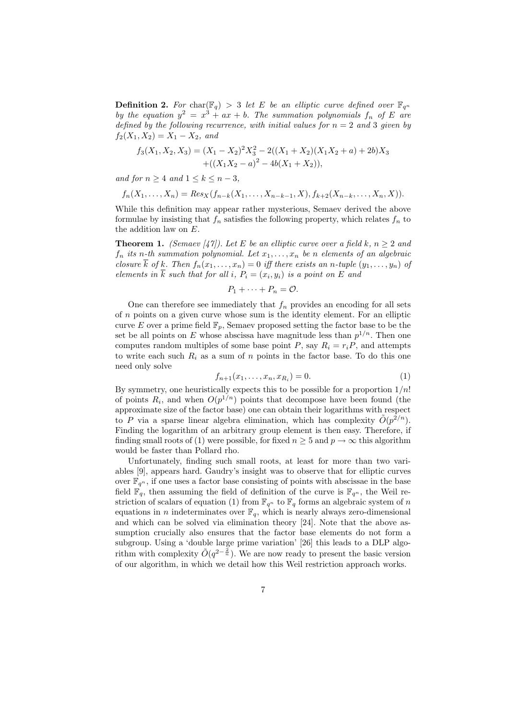**Definition 2.** For char( $\mathbb{F}_q$ ) > 3 let E be an elliptic curve defined over  $\mathbb{F}_{q^n}$ by the equation  $y^2 = x^3 + ax + b$ . The summation polynomials  $f_n$  of E are defined by the following recurrence, with initial values for  $n = 2$  and 3 given by  $f_2(X_1, X_2) = X_1 - X_2$ , and

$$
f_3(X_1, X_2, X_3) = (X_1 - X_2)^2 X_3^2 - 2((X_1 + X_2)(X_1X_2 + a) + 2b)X_3
$$
  
 
$$
+ ((X_1X_2 - a)^2 - 4b(X_1 + X_2)),
$$

and for  $n \geq 4$  and  $1 \leq k \leq n-3$ ,

$$
f_n(X_1,\ldots,X_n) = Res_X(f_{n-k}(X_1,\ldots,X_{n-k-1},X), f_{k+2}(X_{n-k},\ldots,X_n,X)).
$$

While this definition may appear rather mysterious, Semaev derived the above formulae by insisting that  $f_n$  satisfies the following property, which relates  $f_n$  to the addition law on E.

**Theorem 1.** (Semaev [47]). Let E be an elliptic curve over a field k,  $n \geq 2$  and  $f_n$  its n-th summation polynomial. Let  $x_1, \ldots, x_n$  be n elements of an algebraic closure  $\overline{k}$  of k. Then  $f_n(x_1,...,x_n) = 0$  iff there exists an n-tuple  $(y_1,...,y_n)$  of elements in k such that for all i,  $P_i = (x_i, y_i)$  is a point on E and

$$
P_1 + \cdots + P_n = \mathcal{O}.
$$

One can therefore see immediately that  $f_n$  provides an encoding for all sets of  $n$  points on a given curve whose sum is the identity element. For an elliptic curve E over a prime field  $\mathbb{F}_p$ , Semaev proposed setting the factor base to be the set be all points on E whose abscissa have magnitude less than  $p^{1/n}$ . Then one computes random multiples of some base point P, say  $R_i = r_i P$ , and attempts to write each such  $R_i$  as a sum of n points in the factor base. To do this one need only solve

$$
f_{n+1}(x_1, \dots, x_n, x_{R_i}) = 0.
$$
 (1)

By symmetry, one heuristically expects this to be possible for a proportion  $1/n!$ of points  $R_i$ , and when  $O(p^{1/n})$  points that decompose have been found (the approximate size of the factor base) one can obtain their logarithms with respect to P via a sparse linear algebra elimination, which has complexity  $\tilde{O}(p^{2/n})$ . Finding the logarithm of an arbitrary group element is then easy. Therefore, if finding small roots of (1) were possible, for fixed  $n \geq 5$  and  $p \to \infty$  this algorithm would be faster than Pollard rho.

Unfortunately, finding such small roots, at least for more than two variables [9], appears hard. Gaudry's insight was to observe that for elliptic curves over  $\mathbb{F}_{q^n}$ , if one uses a factor base consisting of points with abscissae in the base field  $\mathbb{F}_q$ , then assuming the field of definition of the curve is  $\mathbb{F}_{q^n}$ , the Weil restriction of scalars of equation (1) from  $\mathbb{F}_{q^n}$  to  $\mathbb{F}_q$  forms an algebraic system of n equations in *n* indeterminates over  $\mathbb{F}_q$ , which is nearly always zero-dimensional and which can be solved via elimination theory [24]. Note that the above assumption crucially also ensures that the factor base elements do not form a subgroup. Using a 'double large prime variation' [26] this leads to a DLP algorithm with complexity  $\tilde{O}(q^{2-\frac{2}{n}})$ . We are now ready to present the basic version of our algorithm, in which we detail how this Weil restriction approach works.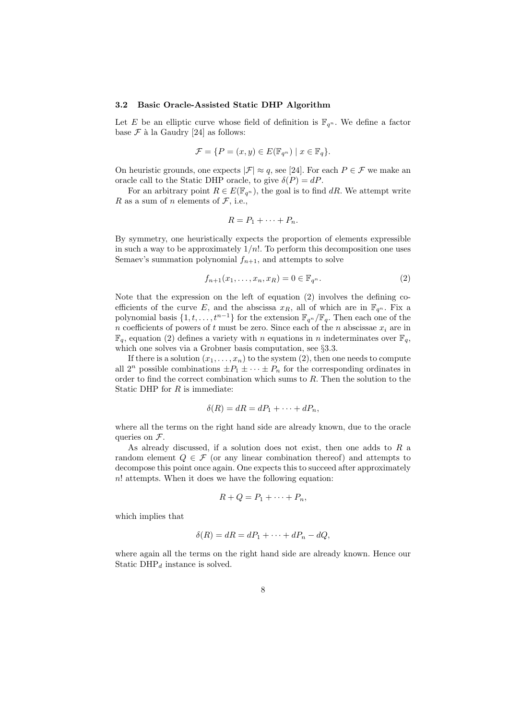#### 3.2 Basic Oracle-Assisted Static DHP Algorithm

Let E be an elliptic curve whose field of definition is  $\mathbb{F}_{q^n}$ . We define a factor base  $\mathcal F$  à la Gaudry [24] as follows:

$$
\mathcal{F} = \{ P = (x, y) \in E(\mathbb{F}_{q^n}) \mid x \in \mathbb{F}_q \}.
$$

On heuristic grounds, one expects  $|\mathcal{F}| \approx q$ , see [24]. For each  $P \in \mathcal{F}$  we make an oracle call to the Static DHP oracle, to give  $\delta(P) = dP$ .

For an arbitrary point  $R \in E(\mathbb{F}_{q^n})$ , the goal is to find dR. We attempt write R as a sum of n elements of  $\mathcal{F}$ , i.e.,

$$
R = P_1 + \cdots + P_n.
$$

By symmetry, one heuristically expects the proportion of elements expressible in such a way to be approximately  $1/n!$ . To perform this decomposition one uses Semaev's summation polynomial  $f_{n+1}$ , and attempts to solve

$$
f_{n+1}(x_1,\ldots,x_n,x_R)=0\in\mathbb{F}_{q^n}.
$$
\n<sup>(2)</sup>

Note that the expression on the left of equation (2) involves the defining coefficients of the curve E, and the abscissa  $x_R$ , all of which are in  $\mathbb{F}_{q^n}$ . Fix a polynomial basis  $\{1, t, \ldots, t^{n-1}\}$  for the extension  $\mathbb{F}_{q^n}/\mathbb{F}_q$ . Then each one of the n coefficients of powers of t must be zero. Since each of the n abscissae  $x_i$  are in  $\mathbb{F}_q$ , equation (2) defines a variety with n equations in n indeterminates over  $\mathbb{F}_q$ , which one solves via a Grobner basis computation, see §3.3.

If there is a solution  $(x_1, \ldots, x_n)$  to the system (2), then one needs to compute all  $2^n$  possible combinations  $\pm P_1 \pm \cdots \pm P_n$  for the corresponding ordinates in order to find the correct combination which sums to  $R$ . Then the solution to the Static DHP for R is immediate:

$$
\delta(R) = dR = dP_1 + \dots + dP_n,
$$

where all the terms on the right hand side are already known, due to the oracle queries on  $\mathcal{F}$ .

As already discussed, if a solution does not exist, then one adds to  $R$  a random element  $Q \in \mathcal{F}$  (or any linear combination thereof) and attempts to decompose this point once again. One expects this to succeed after approximately  $n!$  attempts. When it does we have the following equation:

$$
R+Q=P_1+\cdots+P_n,
$$

which implies that

$$
\delta(R) = dR = dP_1 + \cdots + dP_n - dQ,
$$

where again all the terms on the right hand side are already known. Hence our Static  $DHP_d$  instance is solved.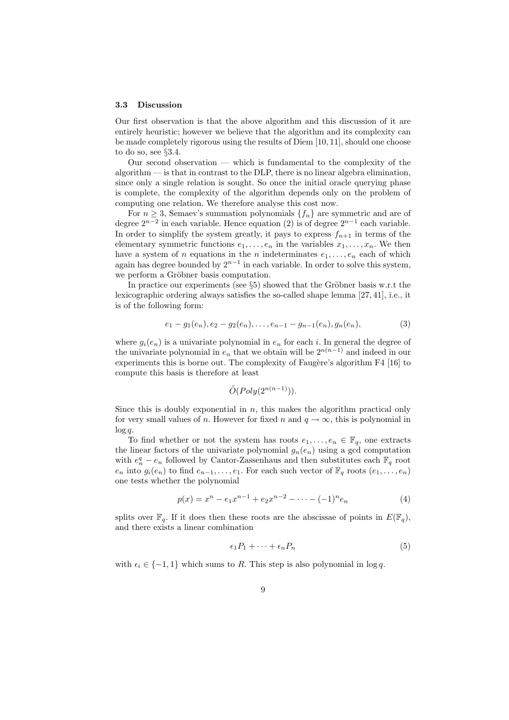#### 3.3 Discussion

Our first observation is that the above algorithm and this discussion of it are entirely heuristic; however we believe that the algorithm and its complexity can be made completely rigorous using the results of Diem [10, 11], should one choose to do so, see §3.4.

Our second observation — which is fundamental to the complexity of the algorithm — is that in contrast to the DLP, there is no linear algebra elimination, since only a single relation is sought. So once the initial oracle querying phase is complete, the complexity of the algorithm depends only on the problem of computing one relation. We therefore analyse this cost now.

For  $n \geq 3$ , Semaev's summation polynomials  $\{f_n\}$  are symmetric and are of degree  $2^{n-2}$  in each variable. Hence equation (2) is of degree  $2^{n-1}$  each variable. In order to simplify the system greatly, it pays to express  $f_{n+1}$  in terms of the elementary symmetric functions  $e_1, \ldots, e_n$  in the variables  $x_1, \ldots, x_n$ . We then have a system of n equations in the n indeterminates  $e_1, \ldots, e_n$  each of which again has degree bounded by  $2^{n-1}$  in each variable. In order to solve this system, we perform a Gröbner basis computation.

In practice our experiments (see  $\S5$ ) showed that the Gröbner basis w.r.t the lexicographic ordering always satisfies the so-called shape lemma [27, 41], i.e., it is of the following form:

$$
e_1-g_1(e_n), e_2-g_2(e_n), \ldots, e_{n-1}-g_{n-1}(e_n), g_n(e_n), \hspace{1cm} (3)
$$

where  $g_i(e_n)$  is a univariate polynomial in  $e_n$  for each i. In general the degree of the univariate polynomial in  $e_n$  that we obtain will be  $2^{n(n-1)}$  and indeed in our experiments this is borne out. The complexity of Faugère's algorithm  $F4$  [16] to compute this basis is therefore at least

$$
\tilde{O}(Poly(2^{n(n-1)})).
$$

Since this is doubly exponential in  $n$ , this makes the algorithm practical only for very small values of n. However for fixed n and  $q \to \infty$ , this is polynomial in log q.

To find whether or not the system has roots  $e_1, \ldots, e_n \in \mathbb{F}_q$ , one extracts the linear factors of the univariate polynomial  $g_n(e_n)$  using a gcd computation with  $e_n^q - e_n$  followed by Cantor-Zassenhaus and then substitutes each  $\mathbb{F}_q$  root  $e_n$  into  $g_i(e_n)$  to find  $e_{n-1}, \ldots, e_1$ . For each such vector of  $\mathbb{F}_q$  roots  $(e_1, \ldots, e_n)$ one tests whether the polynomial

$$
p(x) = xn - e1xn-1 + e2xn-2 - \dots - (-1)n en
$$
 (4)

splits over  $\mathbb{F}_q$ . If it does then these roots are the abscissae of points in  $E(\mathbb{F}_q)$ , and there exists a linear combination

$$
\epsilon_1 P_1 + \dots + \epsilon_n P_n \tag{5}
$$

with  $\epsilon_i \in \{-1, 1\}$  which sums to R. This step is also polynomial in log q.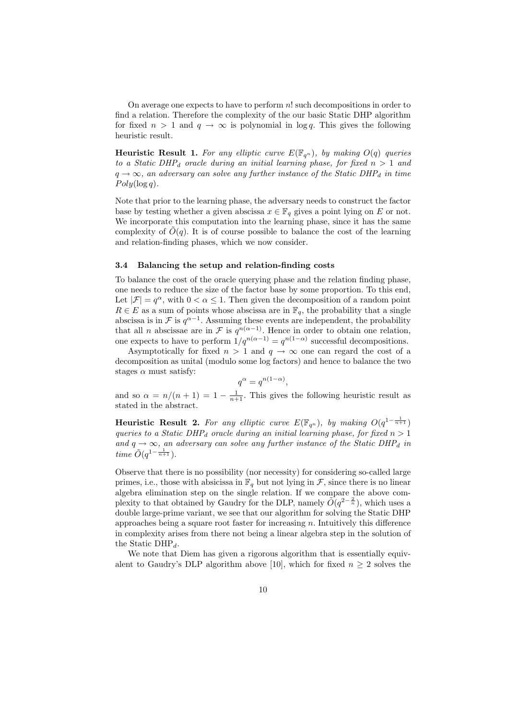On average one expects to have to perform n! such decompositions in order to find a relation. Therefore the complexity of the our basic Static DHP algorithm for fixed  $n > 1$  and  $q \to \infty$  is polynomial in log q. This gives the following heuristic result.

**Heuristic Result 1.** For any elliptic curve  $E(\mathbb{F}_{q^n})$ , by making  $O(q)$  queries to a Static DHP<sub>d</sub> oracle during an initial learning phase, for fixed  $n > 1$  and  $q \rightarrow \infty$ , an adversary can solve any further instance of the Static DHP<sub>d</sub> in time  $Poly(\log q)$ .

Note that prior to the learning phase, the adversary needs to construct the factor base by testing whether a given abscissa  $x \in \mathbb{F}_q$  gives a point lying on E or not. We incorporate this computation into the learning phase, since it has the same complexity of  $\tilde{O}(q)$ . It is of course possible to balance the cost of the learning and relation-finding phases, which we now consider.

#### 3.4 Balancing the setup and relation-finding costs

To balance the cost of the oracle querying phase and the relation finding phase, one needs to reduce the size of the factor base by some proportion. To this end, Let  $|\mathcal{F}| = q^{\alpha}$ , with  $0 < \alpha \leq 1$ . Then given the decomposition of a random point  $R \in E$  as a sum of points whose abscissa are in  $\mathbb{F}_q$ , the probability that a single abscissa is in  $\mathcal F$  is  $q^{\alpha-1}$ . Assuming these events are independent, the probability that all *n* abscissae are in  $\mathcal F$  is  $q^{n(\alpha-1)}$ . Hence in order to obtain one relation, one expects to have to perform  $1/q^{n(\alpha-1)} = q^{n(1-\alpha)}$  successful decompositions.

Asymptotically for fixed  $n > 1$  and  $q \to \infty$  one can regard the cost of a decomposition as unital (modulo some log factors) and hence to balance the two stages  $\alpha$  must satisfy:

$$
q^{\alpha} = q^{n(1-\alpha)},
$$

and so  $\alpha = n/(n+1) = 1 - \frac{1}{n+1}$ . This gives the following heuristic result as stated in the abstract.

Heuristic Result 2. For any elliptic curve  $E(\mathbb{F}_{q^n})$ , by making  $O(q^{1-\frac{1}{n+1}})$ queries to a Static DHP<sub>d</sub> oracle during an initial learning phase, for fixed  $n > 1$ and  $q \rightarrow \infty$ , an adversary can solve any further instance of the Static DHP<sub>d</sub> in time  $\tilde{O}(q^{1-\frac{1}{n+1}})$ .

Observe that there is no possibility (nor necessity) for considering so-called large primes, i.e., those with absicissa in  $\mathbb{F}_q$  but not lying in  $\mathcal{F}$ , since there is no linear algebra elimination step on the single relation. If we compare the above complexity to that obtained by Gaudry for the DLP, namely  $\tilde{O}(q^{2-\frac{2}{n}})$ , which uses a double large-prime variant, we see that our algorithm for solving the Static DHP approaches being a square root faster for increasing  $n$ . Intuitively this difference in complexity arises from there not being a linear algebra step in the solution of the Static DHP $_d$ .

We note that Diem has given a rigorous algorithm that is essentially equivalent to Gaudry's DLP algorithm above [10], which for fixed  $n \geq 2$  solves the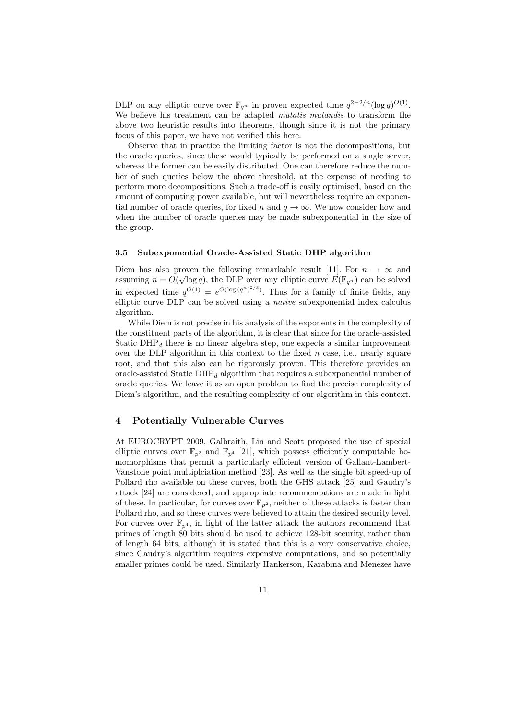DLP on any elliptic curve over  $\mathbb{F}_{q^n}$  in proven expected time  $q^{2-2/n}(\log q)^{O(1)}$ . We believe his treatment can be adapted *mutatis mutandis* to transform the above two heuristic results into theorems, though since it is not the primary focus of this paper, we have not verified this here.

Observe that in practice the limiting factor is not the decompositions, but the oracle queries, since these would typically be performed on a single server, whereas the former can be easily distributed. One can therefore reduce the number of such queries below the above threshold, at the expense of needing to perform more decompositions. Such a trade-off is easily optimised, based on the amount of computing power available, but will nevertheless require an exponential number of oracle queries, for fixed n and  $q \rightarrow \infty$ . We now consider how and when the number of oracle queries may be made subexponential in the size of the group.

#### 3.5 Subexponential Oracle-Assisted Static DHP algorithm

Diem has also proven the following remarkable result [11]. For  $n \to \infty$  and assuming  $n = O(\sqrt{\log q})$ , the DLP over any elliptic curve  $E(\mathbb{F}_{q^n})$  can be solved in expected time  $q^{O(1)} = e^{O(\log(q^n)^{2/3})}$ . Thus for a family of finite fields, any elliptic curve DLP can be solved using a native subexponential index calculus algorithm.

While Diem is not precise in his analysis of the exponents in the complexity of the constituent parts of the algorithm, it is clear that since for the oracle-assisted Static  $DHP<sub>d</sub>$  there is no linear algebra step, one expects a similar improvement over the DLP algorithm in this context to the fixed  $n$  case, i.e., nearly square root, and that this also can be rigorously proven. This therefore provides an oracle-assisted Static  $DHP<sub>d</sub>$  algorithm that requires a subexponential number of oracle queries. We leave it as an open problem to find the precise complexity of Diem's algorithm, and the resulting complexity of our algorithm in this context.

### 4 Potentially Vulnerable Curves

At EUROCRYPT 2009, Galbraith, Lin and Scott proposed the use of special elliptic curves over  $\mathbb{F}_{p^2}$  and  $\mathbb{F}_{p^4}$  [21], which possess efficiently computable homomorphisms that permit a particularly efficient version of Gallant-Lambert-Vanstone point multiplciation method [23]. As well as the single bit speed-up of Pollard rho available on these curves, both the GHS attack [25] and Gaudry's attack [24] are considered, and appropriate recommendations are made in light of these. In particular, for curves over  $\mathbb{F}_{p^2}$ , neither of these attacks is faster than Pollard rho, and so these curves were believed to attain the desired security level. For curves over  $\mathbb{F}_{p^4}$ , in light of the latter attack the authors recommend that primes of length 80 bits should be used to achieve 128-bit security, rather than of length 64 bits, although it is stated that this is a very conservative choice, since Gaudry's algorithm requires expensive computations, and so potentially smaller primes could be used. Similarly Hankerson, Karabina and Menezes have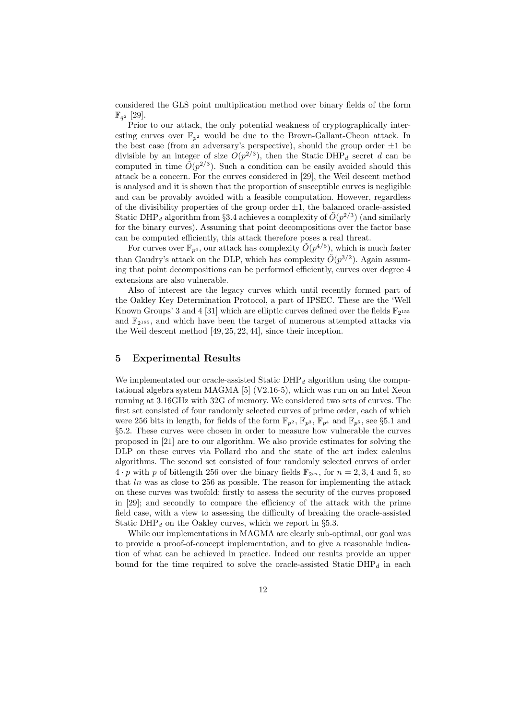considered the GLS point multiplication method over binary fields of the form  $\mathbb{F}_{q^2}$  [29].

Prior to our attack, the only potential weakness of cryptographically interesting curves over  $\mathbb{F}_{p^2}$  would be due to the Brown-Gallant-Cheon attack. In the best case (from an adversary's perspective), should the group order  $\pm 1$  be divisible by an integer of size  $O(p^{2/3})$ , then the Static DHP<sub>d</sub> secret d can be computed in time  $\tilde{O}(p^{2/3})$ . Such a condition can be easily avoided should this attack be a concern. For the curves considered in [29], the Weil descent method is analysed and it is shown that the proportion of susceptible curves is negligible and can be provably avoided with a feasible computation. However, regardless of the divisibility properties of the group order  $\pm 1$ , the balanced oracle-assisted Static DHP<sub>d</sub> algorithm from §3.4 achieves a complexity of  $\tilde{O}(p^{2/3})$  (and similarly for the binary curves). Assuming that point decompositions over the factor base can be computed efficiently, this attack therefore poses a real threat.

For curves over  $\mathbb{F}_{p^4}$ , our attack has complexity  $\tilde{O}(p^{4/5})$ , which is much faster than Gaudry's attack on the DLP, which has complexity  $\tilde{O}(p^{3/2})$ . Again assuming that point decompositions can be performed efficiently, curves over degree 4 extensions are also vulnerable.

Also of interest are the legacy curves which until recently formed part of the Oakley Key Determination Protocol, a part of IPSEC. These are the 'Well Known Groups' 3 and 4 [31] which are elliptic curves defined over the fields  $\mathbb{F}_{2^{155}}$ and  $\mathbb{F}_{2^{185}}$ , and which have been the target of numerous attempted attacks via the Weil descent method [49, 25, 22, 44], since their inception.

## 5 Experimental Results

We implementated our oracle-assisted Static  $DHP<sub>d</sub>$  algorithm using the computational algebra system MAGMA [5] (V2.16-5), which was run on an Intel Xeon running at 3.16GHz with 32G of memory. We considered two sets of curves. The first set consisted of four randomly selected curves of prime order, each of which were 256 bits in length, for fields of the form  $\mathbb{F}_{p^2}$ ,  $\mathbb{F}_{p^3}$ ,  $\mathbb{F}_{p^4}$  and  $\mathbb{F}_{p^5}$ , see §5.1 and §5.2. These curves were chosen in order to measure how vulnerable the curves proposed in [21] are to our algorithm. We also provide estimates for solving the DLP on these curves via Pollard rho and the state of the art index calculus algorithms. The second set consisted of four randomly selected curves of order  $4 \cdot p$  with p of bitlength 256 over the binary fields  $\mathbb{F}_{2^{ln}}$ , for  $n = 2, 3, 4$  and 5, so that  $ln$  was as close to 256 as possible. The reason for implementing the attack on these curves was twofold: firstly to assess the security of the curves proposed in [29]; and secondly to compare the efficiency of the attack with the prime field case, with a view to assessing the difficulty of breaking the oracle-assisted Static DHP<sub>d</sub> on the Oakley curves, which we report in  $\S 5.3$ .

While our implementations in MAGMA are clearly sub-optimal, our goal was to provide a proof-of-concept implementation, and to give a reasonable indication of what can be achieved in practice. Indeed our results provide an upper bound for the time required to solve the oracle-assisted Static  $DHP<sub>d</sub>$  in each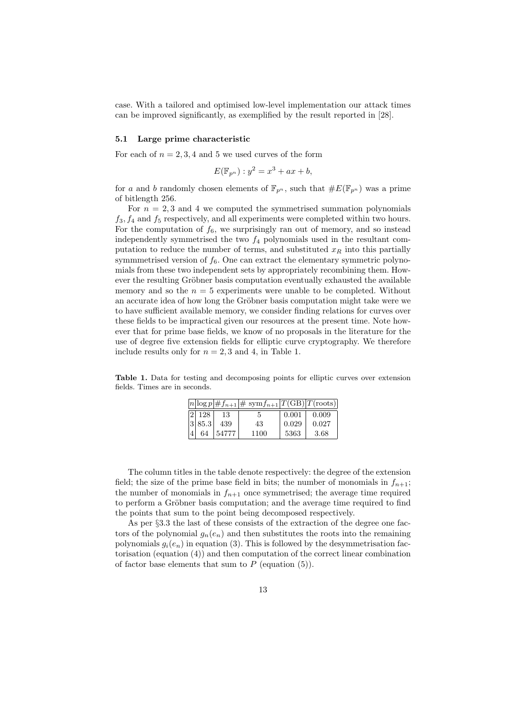case. With a tailored and optimised low-level implementation our attack times can be improved significantly, as exemplified by the result reported in [28].

#### 5.1 Large prime characteristic

For each of  $n = 2, 3, 4$  and 5 we used curves of the form

$$
E(\mathbb{F}_{p^n}): y^2 = x^3 + ax + b,
$$

for a and b randomly chosen elements of  $\mathbb{F}_{p^n}$ , such that  $\#E(\mathbb{F}_{p^n})$  was a prime of bitlength 256.

For  $n = 2, 3$  and 4 we computed the symmetrised summation polynomials  $f_3, f_4$  and  $f_5$  respectively, and all experiments were completed within two hours. For the computation of  $f_6$ , we surprisingly ran out of memory, and so instead independently symmetrised the two  $f_4$  polynomials used in the resultant computation to reduce the number of terms, and substituted  $x_R$  into this partially symmmetrised version of  $f_6$ . One can extract the elementary symmetric polynomials from these two independent sets by appropriately recombining them. However the resulting Gröbner basis computation eventually exhausted the available memory and so the  $n = 5$  experiments were unable to be completed. Without an accurate idea of how long the Gröbner basis computation might take were we to have sufficient available memory, we consider finding relations for curves over these fields to be impractical given our resources at the present time. Note however that for prime base fields, we know of no proposals in the literature for the use of degree five extension fields for elliptic curve cryptography. We therefore include results only for  $n = 2, 3$  and 4, in Table 1.

Table 1. Data for testing and decomposing points for elliptic curves over extension fields. Times are in seconds.

|                |        |       | $\left n\right \log p\right \#f_{n+1}\right \#\mathrm{sym}f_{n+1}\left T(\mathrm{GB})\right T(\mathrm{roots})\right $ |       |       |
|----------------|--------|-------|-----------------------------------------------------------------------------------------------------------------------|-------|-------|
|                | 2  128 | 13    | 5                                                                                                                     | 0.001 | 0.009 |
|                | 3 85.3 | 439   | 43                                                                                                                    | 0.029 | 0.027 |
| $\overline{4}$ | 64     | 54777 | 1100                                                                                                                  | 5363  | 3.68  |

The column titles in the table denote respectively: the degree of the extension field; the size of the prime base field in bits; the number of monomials in  $f_{n+1}$ ; the number of monomials in  $f_{n+1}$  once symmetrised; the average time required to perform a Gröbner basis computation; and the average time required to find the points that sum to the point being decomposed respectively.

As per §3.3 the last of these consists of the extraction of the degree one factors of the polynomial  $g_n(e_n)$  and then substitutes the roots into the remaining polynomials  $g_i(e_n)$  in equation (3). This is followed by the desymmetrisation factorisation (equation (4)) and then computation of the correct linear combination of factor base elements that sum to  $P$  (equation (5)).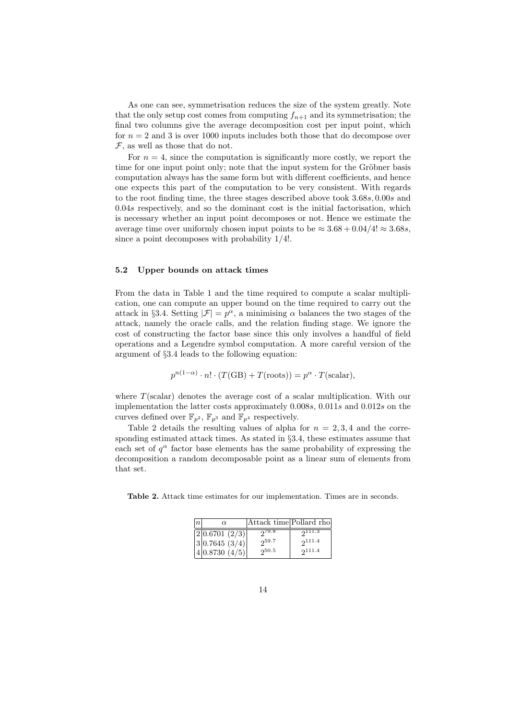As one can see, symmetrisation reduces the size of the system greatly. Note that the only setup cost comes from computing  $f_{n+1}$  and its symmetrisation; the final two columns give the average decomposition cost per input point, which for  $n = 2$  and 3 is over 1000 inputs includes both those that do decompose over  $\mathcal F$ , as well as those that do not.

For  $n = 4$ , since the computation is significantly more costly, we report the time for one input point only; note that the input system for the Gröbner basis computation always has the same form but with different coefficients, and hence one expects this part of the computation to be very consistent. With regards to the root finding time, the three stages described above took 3.68s, 0.00s and  $0.04s$  respectively, and so the dominant cost is the initial factorisation, which is necessary whether an input point decomposes or not. Hence we estimate the average time over uniformly chosen input points to be  $\approx 3.68 + 0.04/4! \approx 3.68s$ , since a point decomposes with probability 1/4!.

#### 5.2 Upper bounds on attack times

From the data in Table 1 and the time required to compute a scalar multiplication, one can compute an upper bound on the time required to carry out the attack in §3.4. Setting  $|\mathcal{F}| = p^{\alpha}$ , a minimising  $\alpha$  balances the two stages of the attack, namely the oracle calls, and the relation finding stage. We ignore the cost of constructing the factor base since this only involves a handful of field operations and a Legendre symbol computation. A more careful version of the argument of §3.4 leads to the following equation:

$$
p^{n(1-\alpha)} \cdot n! \cdot (T(\text{GB}) + T(\text{roots})) = p^{\alpha} \cdot T(\text{scalar}),
$$

where  $T(\text{scalar})$  denotes the average cost of a scalar multiplication. With our implementation the latter costs approximately 0.008s, 0.011s and 0.012s on the curves defined over  $\mathbb{F}_{p^2}$ ,  $\mathbb{F}_{p^3}$  and  $\mathbb{F}_{p^4}$  respectively.

Table 2 details the resulting values of alpha for  $n = 2, 3, 4$  and the corresponding estimated attack times. As stated in §3.4, these estimates assume that each set of  $q^{\alpha}$  factor base elements has the same probability of expressing the decomposition a random decomposable point as a linear sum of elements from that set.

Table 2. Attack time estimates for our implementation. Times are in seconds.

| $\overline{n}$ | $\alpha$      | Attack time Pollard rho |             |
|----------------|---------------|-------------------------|-------------|
|                | 2 0.6701(2/3) | $2^{79.8}$              | 2111.3      |
|                | 3 0.7645(3/4) | 259.7                   | $2^{111.4}$ |
|                | 4 0.8730(4/5) | $2^{50.5}$              | $2^{111.4}$ |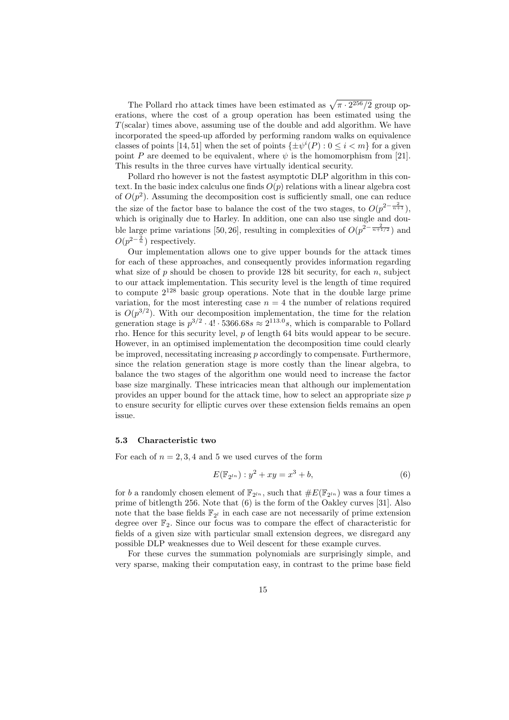The Pollard rho attack times have been estimated as  $\sqrt{\pi \cdot 2^{256}/2}$  group operations, where the cost of a group operation has been estimated using the  $T(\text{scalar})$  times above, assuming use of the double and add algorithm. We have incorporated the speed-up afforded by performing random walks on equivalence classes of points [14, 51] when the set of points  $\{\pm \psi^{i}(P) : 0 \leq i \leq m\}$  for a given point P are deemed to be equivalent, where  $\psi$  is the homomorphism from [21]. This results in the three curves have virtually identical security.

Pollard rho however is not the fastest asymptotic DLP algorithm in this context. In the basic index calculus one finds  $O(p)$  relations with a linear algebra cost of  $O(p^2)$ . Assuming the decomposition cost is sufficiently small, one can reduce the size of the factor base to balance the cost of the two stages, to  $O(p^{2-\frac{2}{n+1}})$ , which is originally due to Harley. In addition, one can also use single and double large prime variations [50, 26], resulting in complexities of  $O(p^{2-\frac{2}{n+1/2}})$  and  $O(p^{2-\frac{2}{n}})$  respectively.

Our implementation allows one to give upper bounds for the attack times for each of these approaches, and consequently provides information regarding what size of  $p$  should be chosen to provide 128 bit security, for each  $n$ , subject to our attack implementation. This security level is the length of time required to compute  $2^{128}$  basic group operations. Note that in the double large prime variation, for the most interesting case  $n = 4$  the number of relations required is  $O(p^{3/2})$ . With our decomposition implementation, the time for the relation generation stage is  $p^{3/2} \cdot 4! \cdot 5366.68s \approx 2^{113.0} s$ , which is comparable to Pollard rho. Hence for this security level, p of length 64 bits would appear to be secure. However, in an optimised implementation the decomposition time could clearly be improved, necessitating increasing  $p$  accordingly to compensate. Furthermore, since the relation generation stage is more costly than the linear algebra, to balance the two stages of the algorithm one would need to increase the factor base size marginally. These intricacies mean that although our implementation provides an upper bound for the attack time, how to select an appropriate size p to ensure security for elliptic curves over these extension fields remains an open issue.

#### 5.3 Characteristic two

For each of  $n = 2, 3, 4$  and 5 we used curves of the form

$$
E(\mathbb{F}_{2^{ln}}): y^2 + xy = x^3 + b,\tag{6}
$$

for b a randomly chosen element of  $\mathbb{F}_{2^{ln}}$ , such that  $\#E(\mathbb{F}_{2^{ln}})$  was a four times a prime of bitlength 256. Note that (6) is the form of the Oakley curves [31]. Also note that the base fields  $\mathbb{F}_{2^l}$  in each case are not necessarily of prime extension degree over  $\mathbb{F}_2$ . Since our focus was to compare the effect of characteristic for fields of a given size with particular small extension degrees, we disregard any possible DLP weaknesses due to Weil descent for these example curves.

For these curves the summation polynomials are surprisingly simple, and very sparse, making their computation easy, in contrast to the prime base field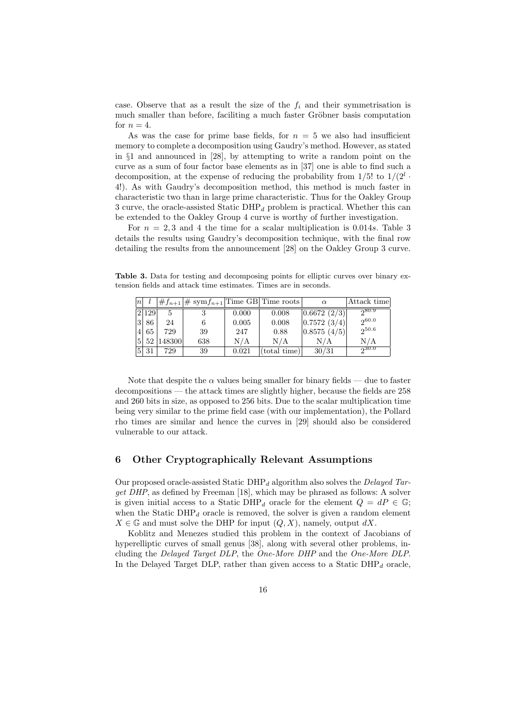case. Observe that as a result the size of the  $f_i$  and their symmetrisation is much smaller than before, faciliting a much faster Gröbner basis computation for  $n = 4$ .

As was the case for prime base fields, for  $n = 5$  we also had insufficient memory to complete a decomposition using Gaudry's method. However, as stated in §1 and announced in [28], by attempting to write a random point on the curve as a sum of four factor base elements as in [37] one is able to find such a decomposition, at the expense of reducing the probability from  $1/5!$  to  $1/(2^l \cdot$ 4!). As with Gaudry's decomposition method, this method is much faster in characteristic two than in large prime characteristic. Thus for the Oakley Group 3 curve, the oracle-assisted Static  $DHP_d$  problem is practical. Whether this can be extended to the Oakley Group 4 curve is worthy of further investigation.

For  $n = 2, 3$  and 4 the time for a scalar multiplication is 0.014s. Table 3 details the results using Gaudry's decomposition technique, with the final row detailing the results from the announcement [28] on the Oakley Group 3 curve.

Table 3. Data for testing and decomposing points for elliptic curves over binary extension fields and attack time estimates. Times are in seconds.

| n  |             |             |     |       | $ \#f_{n+1}  \# \operatorname{sym}f_{n+1}$ Time GB Time roots | $\alpha$    | Attack time |
|----|-------------|-------------|-----|-------|---------------------------------------------------------------|-------------|-------------|
|    | 2 129       | Ð           |     | 0.000 | 0.008                                                         | 0.6672(2/3) | 280.9       |
|    | $3 \mid 86$ | 24          |     | 0.005 | 0.008                                                         | 0.7572(3/4) | 260.0       |
| 41 | 65          | 729         | 39  | 247   | 0.88                                                          | 0.8575(4/5) | 250.6       |
|    |             | 5 52 148300 | 638 | N/A   | N/A                                                           | N/A         | N/A         |
|    | $5 \mid 31$ | 729         | 39  | 0.021 | (total time)                                                  | 30/31       | 230.0       |

Note that despite the  $\alpha$  values being smaller for binary fields — due to faster decompositions — the attack times are slightly higher, because the fields are 258 and 260 bits in size, as opposed to 256 bits. Due to the scalar multiplication time being very similar to the prime field case (with our implementation), the Pollard rho times are similar and hence the curves in [29] should also be considered vulnerable to our attack.

## 6 Other Cryptographically Relevant Assumptions

Our proposed oracle-assisted Static DHP<sub>d</sub> algorithm also solves the *Delayed Tar*get DHP, as defined by Freeman [18], which may be phrased as follows: A solver is given initial access to a Static DHP<sub>d</sub> oracle for the element  $Q = dP \in \mathbb{G}$ ; when the Static  $DHP<sub>d</sub>$  oracle is removed, the solver is given a random element  $X \in \mathbb{G}$  and must solve the DHP for input  $(Q, X)$ , namely, output  $dX$ .

Koblitz and Menezes studied this problem in the context of Jacobians of hyperelliptic curves of small genus [38], along with several other problems, including the Delayed Target DLP, the One-More DHP and the One-More DLP. In the Delayed Target DLP, rather than given access to a Static  $DHP<sub>d</sub>$  oracle,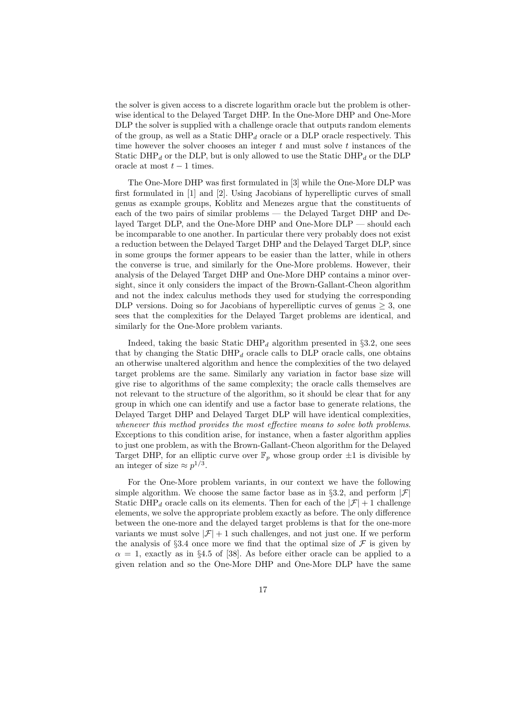the solver is given access to a discrete logarithm oracle but the problem is otherwise identical to the Delayed Target DHP. In the One-More DHP and One-More DLP the solver is supplied with a challenge oracle that outputs random elements of the group, as well as a Static  $DHP<sub>d</sub>$  oracle or a DLP oracle respectively. This time however the solver chooses an integer  $t$  and must solve  $t$  instances of the Static DHP<sub>d</sub> or the DLP, but is only allowed to use the Static DHP<sub>d</sub> or the DLP oracle at most  $t - 1$  times.

The One-More DHP was first formulated in [3] while the One-More DLP was first formulated in [1] and [2]. Using Jacobians of hyperelliptic curves of small genus as example groups, Koblitz and Menezes argue that the constituents of each of the two pairs of similar problems — the Delayed Target DHP and Delayed Target DLP, and the One-More DHP and One-More DLP — should each be incomparable to one another. In particular there very probably does not exist a reduction between the Delayed Target DHP and the Delayed Target DLP, since in some groups the former appears to be easier than the latter, while in others the converse is true, and similarly for the One-More problems. However, their analysis of the Delayed Target DHP and One-More DHP contains a minor oversight, since it only considers the impact of the Brown-Gallant-Cheon algorithm and not the index calculus methods they used for studying the corresponding DLP versions. Doing so for Jacobians of hyperelliptic curves of genus  $\geq 3$ , one sees that the complexities for the Delayed Target problems are identical, and similarly for the One-More problem variants.

Indeed, taking the basic Static DHP<sub>d</sub> algorithm presented in  $\S 3.2$ , one sees that by changing the Static  $DHP<sub>d</sub>$  oracle calls to DLP oracle calls, one obtains an otherwise unaltered algorithm and hence the complexities of the two delayed target problems are the same. Similarly any variation in factor base size will give rise to algorithms of the same complexity; the oracle calls themselves are not relevant to the structure of the algorithm, so it should be clear that for any group in which one can identify and use a factor base to generate relations, the Delayed Target DHP and Delayed Target DLP will have identical complexities, whenever this method provides the most effective means to solve both problems. Exceptions to this condition arise, for instance, when a faster algorithm applies to just one problem, as with the Brown-Gallant-Cheon algorithm for the Delayed Target DHP, for an elliptic curve over  $\mathbb{F}_p$  whose group order  $\pm 1$  is divisible by an integer of size  $\approx p^{1/3}$ .

For the One-More problem variants, in our context we have the following simple algorithm. We choose the same factor base as in §3.2, and perform  $|\mathcal{F}|$ Static DHP<sub>d</sub> oracle calls on its elements. Then for each of the  $|\mathcal{F}| + 1$  challenge elements, we solve the appropriate problem exactly as before. The only difference between the one-more and the delayed target problems is that for the one-more variants we must solve  $|\mathcal{F}| + 1$  such challenges, and not just one. If we perform the analysis of §3.4 once more we find that the optimal size of  $\mathcal F$  is given by  $\alpha = 1$ , exactly as in §4.5 of [38]. As before either oracle can be applied to a given relation and so the One-More DHP and One-More DLP have the same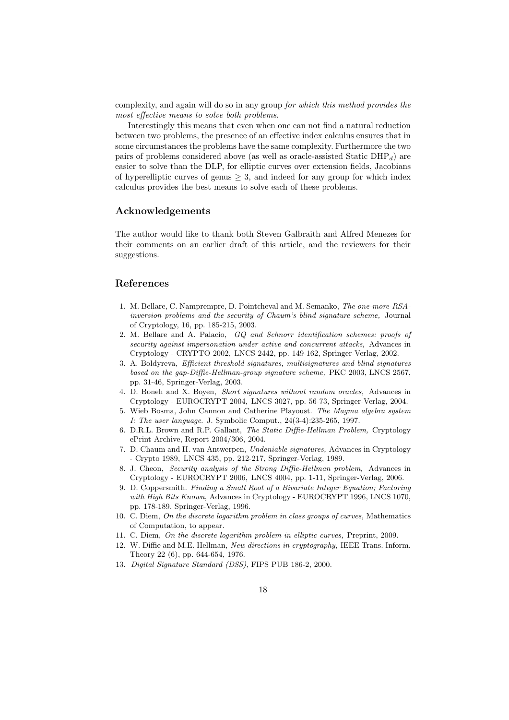complexity, and again will do so in any group for which this method provides the most effective means to solve both problems.

Interestingly this means that even when one can not find a natural reduction between two problems, the presence of an effective index calculus ensures that in some circumstances the problems have the same complexity. Furthermore the two pairs of problems considered above (as well as oracle-assisted Static  $DHP_d$ ) are easier to solve than the DLP, for elliptic curves over extension fields, Jacobians of hyperelliptic curves of genus  $\geq$  3, and indeed for any group for which index calculus provides the best means to solve each of these problems.

## Acknowledgements

The author would like to thank both Steven Galbraith and Alfred Menezes for their comments on an earlier draft of this article, and the reviewers for their suggestions.

# References

- 1. M. Bellare, C. Namprempre, D. Pointcheval and M. Semanko, The one-more-RSAinversion problems and the security of Chaum's blind signature scheme, Journal of Cryptology, 16, pp. 185-215, 2003.
- 2. M. Bellare and A. Palacio, GQ and Schnorr identification schemes: proofs of security against impersonation under active and concurrent attacks, Advances in Cryptology - CRYPTO 2002, LNCS 2442, pp. 149-162, Springer-Verlag, 2002.
- 3. A. Boldyreva, Efficient threshold signatures, multisignatures and blind signatures based on the gap-Diffie-Hellman-group signature scheme, PKC 2003, LNCS 2567, pp. 31-46, Springer-Verlag, 2003.
- 4. D. Boneh and X. Boyen, Short signatures without random oracles, Advances in Cryptology - EUROCRYPT 2004, LNCS 3027, pp. 56-73, Springer-Verlag, 2004.
- 5. Wieb Bosma, John Cannon and Catherine Playoust. The Magma algebra system I: The user language. J. Symbolic Comput., 24(3-4):235-265, 1997.
- 6. D.R.L. Brown and R.P. Gallant, The Static Diffie-Hellman Problem, Cryptology ePrint Archive, Report 2004/306, 2004.
- 7. D. Chaum and H. van Antwerpen, Undeniable signatures, Advances in Cryptology - Crypto 1989, LNCS 435, pp. 212-217, Springer-Verlag, 1989.
- 8. J. Cheon, Security analysis of the Strong Diffie-Hellman problem, Advances in Cryptology - EUROCRYPT 2006, LNCS 4004, pp. 1-11, Springer-Verlag, 2006.
- 9. D. Coppersmith. Finding a Small Root of a Bivariate Integer Equation; Factoring with High Bits Known, Advances in Cryptology - EUROCRYPT 1996, LNCS 1070, pp. 178-189, Springer-Verlag, 1996.
- 10. C. Diem, On the discrete logarithm problem in class groups of curves, Mathematics of Computation, to appear.
- 11. C. Diem, On the discrete logarithm problem in elliptic curves, Preprint, 2009.
- 12. W. Diffie and M.E. Hellman, New directions in cryptography, IEEE Trans. Inform. Theory 22 (6), pp. 644-654, 1976.
- 13. Digital Signature Standard (DSS), FIPS PUB 186-2, 2000.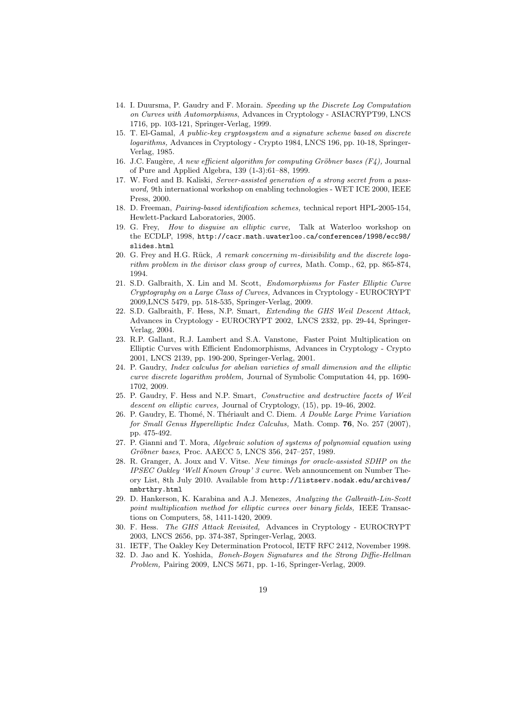- 14. I. Duursma, P. Gaudry and F. Morain. Speeding up the Discrete Log Computation on Curves with Automorphisms, Advances in Cryptology - ASIACRYPT99, LNCS 1716, pp. 103-121, Springer-Verlag, 1999.
- 15. T. El-Gamal, A public-key cryptosystem and a signature scheme based on discrete logarithms, Advances in Cryptology - Crypto 1984, LNCS 196, pp. 10-18, Springer-Verlag, 1985.
- 16. J.C. Faugère, A new efficient algorithm for computing Gröbner bases  $(F_4)$ , Journal of Pure and Applied Algebra, 139 (1-3):61–88, 1999.
- 17. W. Ford and B. Kaliski, Server-assisted generation of a strong secret from a password, 9th international workshop on enabling technologies - WET ICE 2000, IEEE Press, 2000.
- 18. D. Freeman, Pairing-based identification schemes, technical report HPL-2005-154, Hewlett-Packard Laboratories, 2005.
- 19. G. Frey, How to disguise an elliptic curve, Talk at Waterloo workshop on the ECDLP, 1998, http://cacr.math.uwaterloo.ca/conferences/1998/ecc98/ slides.html
- 20. G. Frey and H.G. Rück, A remark concerning m-divisibility and the discrete logarithm problem in the divisor class group of curves, Math. Comp., 62, pp. 865-874, 1994.
- 21. S.D. Galbraith, X. Lin and M. Scott, Endomorphisms for Faster Elliptic Curve Cryptography on a Large Class of Curves, Advances in Cryptology - EUROCRYPT 2009,LNCS 5479, pp. 518-535, Springer-Verlag, 2009.
- 22. S.D. Galbraith, F. Hess, N.P. Smart, Extending the GHS Weil Descent Attack, Advances in Cryptology - EUROCRYPT 2002, LNCS 2332, pp. 29-44, Springer-Verlag, 2004.
- 23. R.P. Gallant, R.J. Lambert and S.A. Vanstone, Faster Point Multiplication on Elliptic Curves with Efficient Endomorphisms, Advances in Cryptology - Crypto 2001, LNCS 2139, pp. 190-200, Springer-Verlag, 2001.
- 24. P. Gaudry, Index calculus for abelian varieties of small dimension and the elliptic curve discrete logarithm problem, Journal of Symbolic Computation 44, pp. 1690- 1702, 2009.
- 25. P. Gaudry, F. Hess and N.P. Smart, Constructive and destructive facets of Weil descent on elliptic curves, Journal of Cryptology,  $(15)$ , pp. 19-46, 2002.
- 26. P. Gaudry, E. Thomé, N. Thériault and C. Diem. A Double Large Prime Variation for Small Genus Hyperelliptic Index Calculus, Math. Comp. 76, No. 257 (2007), pp. 475-492.
- 27. P. Gianni and T. Mora, Algebraic solution of systems of polynomial equation using Gröbner bases, Proc. AAECC 5, LNCS 356, 247-257, 1989.
- 28. R. Granger, A. Joux and V. Vitse. New timings for oracle-assisted SDHP on the IPSEC Oakley 'Well Known Group' 3 curve. Web announcement on Number Theory List, 8th July 2010. Available from http://listserv.nodak.edu/archives/ nmbrthry.html
- 29. D. Hankerson, K. Karabina and A.J. Menezes, Analyzing the Galbraith-Lin-Scott point multiplication method for elliptic curves over binary fields, IEEE Transactions on Computers, 58, 1411-1420, 2009.
- 30. F. Hess. The GHS Attack Revisited, Advances in Cryptology EUROCRYPT 2003, LNCS 2656, pp. 374-387, Springer-Verlag, 2003.
- 31. IETF, The Oakley Key Determination Protocol, IETF RFC 2412, November 1998.
- 32. D. Jao and K. Yoshida, Boneh-Boyen Signatures and the Strong Diffie-Hellman Problem, Pairing 2009, LNCS 5671, pp. 1-16, Springer-Verlag, 2009.